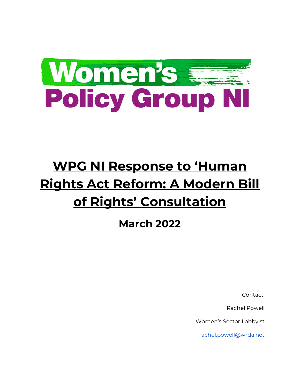

# **WPG NI Response to 'Human Rights Act Reform: A Modern Bill of Rights' Consultation**

**March 2022** 

Contact:

Rachel Powell

Women's Sector Lobbyist

rachel.powell@wrda.net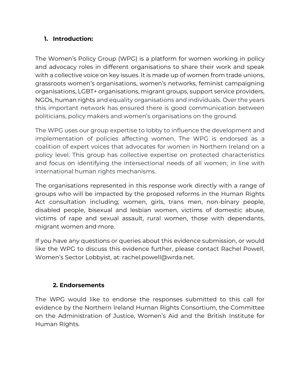### **1. Introduction:**

The Women's Policy Group (WPG) is a platform for women working in policy and advocacy roles in different organisations to share their work and speak with a collective voice on key issues. It is made up of women from trade unions, grassroots women's organisations, women's networks, feminist campaigning organisations, LGBT+ organisations, migrant groups, support service providers, NGOs, human rights and equality organisations and individuals. Over the years this important network has ensured there is good communication between politicians, policy makers and women's organisations on the ground.

The WPG uses our group expertise to lobby to influence the development and implementation of policies affecting women. The WPG is endorsed as a coalition of expert voices that advocates for women in Northern Ireland on a policy level. This group has collective expertise on protected characteristics and focus on identifying the intersectional needs of all women; in line with international human rights mechanisms.

The organisations represented in this response work directly with a range of groups who will be impacted by the proposed reforms in the Human Rights Act consultation including; women, girls, trans men, non-binary people, disabled people, bisexual and lesbian women, victims of domestic abuse, victims of rape and sexual assault, rural women, those with dependants, migrant women and more.

If you have any questions or queries about this evidence submission, or would like the WPG to discuss this evidence further, please contact Rachel Powell, Women's Sector Lobbyist, at: rachel.powell@wrda.net.

# **2. Endorsements**

The WPG would like to endorse the responses submitted to this call for evidence by the Northern Ireland Human Rights Consortium, the Committee on the Administration of Justice, Women's Aid and the British Institute for Human Rights.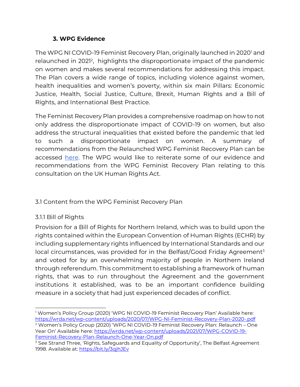# **3. WPG Evidence**

The WPG NI COVID-19 Feminist Recovery Plan, originally launched in 2020<sup>1</sup> and relaunched in 2021<sup>2</sup>, highlights the disproportionate impact of the pandemic on women and makes several recommendations for addressing this impact. The Plan covers a wide range of topics, including violence against women, health inequalities and women's poverty, within six main Pillars: Economic Justice, Health, Social Justice, Culture, Brexit, Human Rights and a Bill of Rights, and International Best Practice.

The Feminist Recovery Plan provides a comprehensive roadmap on how to not only address the disproportionate impact of COVID-19 on women, but also address the structural inequalities that existed before the pandemic that led to such a disproportionate impact on women. A summary of recommendations from the Relaunched WPG Feminist Recovery Plan can be accessed [here.](https://wrda.net/wp-content/uploads/2021/10/WPG-Feminist-Recovery-Plan-2021-Summary-of-Recommendations.pdf) The WPG would like to reiterate some of our evidence and recommendations from the WPG Feminist Recovery Plan relating to this consultation on the UK Human Rights Act.

# 3.1 Content from the WPG Feminist Recovery Plan

# 3.1.1 Bill of Rights

Provision for a Bill of Rights for Northern Ireland, which was to build upon the rights contained within the European Convention of Human Rights (ECHR) by including supplementary rights influenced by International Standards and our local circumstances, was provided for in the Belfast/Good Friday Agreement<sup>3</sup> and voted for by an overwhelming majority of people in Northern Ireland through referendum. This commitment to establishing a framework of human rights, that was to run throughout the Agreement and the government institutions it established, was to be an important confidence building measure in a society that had just experienced decades of conflict.

<sup>1</sup> Women's Policy Group (2020) 'WPG NI COVID-19 Feminist Recovery Plan' Available here: <https://wrda.net/wp-content/uploads/2020/07/WPG-NI-Feminist-Recovery-Plan-2020-.pdf> <sup>2</sup> Women's Policy Group (2020) 'WPG NI COVID-19 Feminist Recovery Plan: Relaunch – One

Year On' Available here: [https://wrda.net/wp-content/uploads/2021/07/WPG-COVID-19-](https://wrda.net/wp-content/uploads/2021/07/WPG-COVID-19-Feminist-Recovery-Plan-Relaunch-One-Year-On.pdf) [Feminist-Recovery-Plan-Relaunch-One-Year-On.pdf](https://wrda.net/wp-content/uploads/2021/07/WPG-COVID-19-Feminist-Recovery-Plan-Relaunch-One-Year-On.pdf)

<sup>&</sup>lt;sup>3</sup> See Strand Three, 'Rights, Safeguards and Equality of Opportunity', The Belfast Agreement 1998. Available at[: https://bit.ly/3qjhJEv](https://bit.ly/3qjhJEv)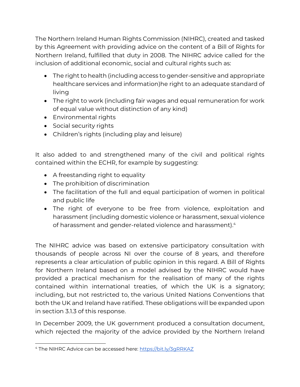The Northern Ireland Human Rights Commission (NIHRC), created and tasked by this Agreement with providing advice on the content of a Bill of Rights for Northern Ireland, fulfilled that duty in 2008. The NIHRC advice called for the inclusion of additional economic, social and cultural rights such as:

- The right to health (including access to gender-sensitive and appropriate healthcare services and information)he right to an adequate standard of living
- The right to work (including fair wages and equal remuneration for work of equal value without distinction of any kind)
- Environmental rights
- Social security rights
- Children's rights (including play and leisure)

It also added to and strengthened many of the civil and political rights contained within the ECHR, for example by suggesting:

- A freestanding right to equality
- The prohibition of discrimination
- The facilitation of the full and equal participation of women in political and public life
- The right of everyone to be free from violence, exploitation and harassment (including domestic violence or harassment, sexual violence of harassment and gender-related violence and harassment).<sup>4</sup>

The NIHRC advice was based on extensive participatory consultation with thousands of people across NI over the course of 8 years, and therefore represents a clear articulation of public opinion in this regard. A Bill of Rights for Northern Ireland based on a model advised by the NIHRC would have provided a practical mechanism for the realisation of many of the rights contained within international treaties, of which the UK is a signatory; including, but not restricted to, the various United Nations Conventions that both the UK and Ireland have ratified. These obligations will be expanded upon in section 3.1.3 of this response.

In December 2009, the UK government produced a consultation document, which rejected the majority of the advice provided by the Northern Ireland

<sup>4</sup> The NIHRC Advice can be accessed here:<https://bit.ly/3gRRKAZ>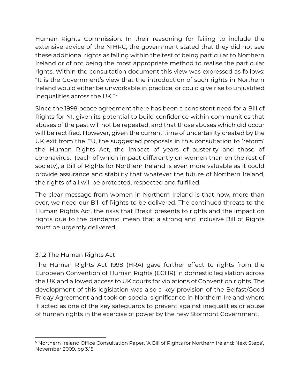Human Rights Commission. In their reasoning for failing to include the extensive advice of the NIHRC, the government stated that they did not see these additional rights as falling within the test of being particular to Northern Ireland or of not being the most appropriate method to realise the particular rights. Within the consultation document this view was expressed as follows: "It is the Government's view that the introduction of such rights in Northern Ireland would either be unworkable in practice, or could give rise to unjustified inequalities across the UK."<sup>5</sup>

Since the 1998 peace agreement there has been a consistent need for a Bill of Rights for NI, given its potential to build confidence within communities that abuses of the past will not be repeated, and that those abuses which did occur will be rectified. However, given the current time of uncertainty created by the UK exit from the EU, the suggested proposals in this consultation to 'reform' the Human Rights Act, the impact of years of austerity and those of coronavirus, (each of which impact differently on women than on the rest of society), a Bill of Rights for Northern Ireland is even more valuable as it could provide assurance and stability that whatever the future of Northern Ireland, the rights of all will be protected, respected and fulfilled.

The clear message from women in Northern Ireland is that now, more than ever, we need our Bill of Rights to be delivered. The continued threats to the Human Rights Act, the risks that Brexit presents to rights and the impact on rights due to the pandemic, mean that a strong and inclusive Bill of Rights must be urgently delivered.

# 3.1.2 The Human Rights Act

The Human Rights Act 1998 (HRA) gave further effect to rights from the European Convention of Human Rights (ECHR) in domestic legislation across the UK and allowed access to UK courts for violations of Convention rights. The development of this legislation was also a key provision of the Belfast/Good Friday Agreement and took on special significance in Northern Ireland where it acted as one of the key safeguards to prevent against inequalities or abuse of human rights in the exercise of power by the new Stormont Government.

<sup>5</sup> Northern Ireland Office Consultation Paper, 'A Bill of Rights for Northern Ireland: Next Steps', November 2009, pp 3.15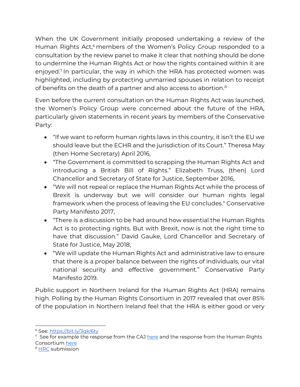When the UK Government initially proposed undertaking a review of the Human Rights Act,<sup>6</sup> members of the Women's Policy Group responded to a consultation by the review panel to make it clear that nothing should be done to undermine the Human Rights Act or how the rights contained within it are enjoyed.<sup>7</sup> In particular, the way in which the HRA has protected women was highlighted, including by protecting unmarried spouses in relation to receipt of benefits on the death of a partner and also access to abortion.<sup>8</sup>

Even before the current consultation on the Human Rights Act was launched, the Women's Policy Group were concerned about the future of the HRA, particularly given statements in recent years by members of the Conservative Party:

- "If we want to reform human rights laws in this country, it isn't the EU we should leave but the ECHR and the jurisdiction of its Court." Theresa May (then Home Secretary) April 2016,
- "The Government is committed to scrapping the Human Rights Act and introducing a British Bill of Rights." Elizabeth Truss, (then) Lord Chancellor and Secretary of State for Justice, September 2016,
- "We will not repeal or replace the Human Rights Act while the process of Brexit is underway but we will consider our human rights legal framework when the process of leaving the EU concludes." Conservative Party Manifesto 2017,
- "There is a discussion to be had around how essential the Human Rights Act is to protecting rights. But with Brexit, now is not the right time to have that discussion." David Gauke, Lord Chancellor and Secretary of State for Justice, May 2018,
- "We will update the Human Rights Act and administrative law to ensure that there is a proper balance between the rights of individuals, our vital national security and effective government." Conservative Party Manifesto 2019.

Public support in Northern Ireland for the Human Rights Act (HRA) remains high. Polling by the Human Rights Consortium in 2017 revealed that over 85% of the population in Northern Ireland feel that the HRA is either good or very

<sup>6</sup> See:<https://bit.ly/3qkI6ty>

 $7\,$  See for example the response from the CAJ [here](https://caj.org.uk/wp-content/uploads/2021/03/CAJ-Response-to-the-Independent-Human-Rights-Act-Review-Mar-21.pdf) and the response from the Human Rights Consortium [here](https://mcusercontent.com/5c6e7558cb6de678762733f06/files/3dd003b2-e988-4656-a5b9-a3eb4027cb7a/Human_Rights_Consortium_Submission_to_the_Independent_Human_Rights_Act_Review_IHRAR_March_2021.pdf)

<sup>&</sup>lt;sup>8</sup> [HRC](https://mcusercontent.com/5c6e7558cb6de678762733f06/files/3dd003b2-e988-4656-a5b9-a3eb4027cb7a/Human_Rights_Consortium_Submission_to_the_Independent_Human_Rights_Act_Review_IHRAR_March_2021.pdf) submission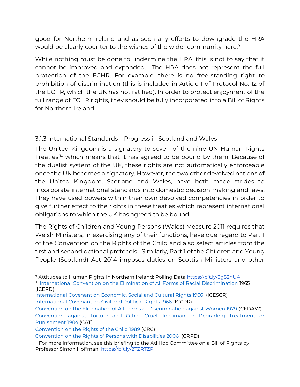good for Northern Ireland and as such any efforts to downgrade the HRA would be clearly counter to the wishes of the wider community here.<sup>9</sup>

While nothing must be done to undermine the HRA, this is not to say that it cannot be improved and expanded. The HRA does not represent the full protection of the ECHR. For example, there is no free-standing right to prohibition of discrimination (this is included in Article 1 of Protocol No. 12 of the ECHR, which the UK has not ratified). In order to protect enjoyment of the full range of ECHR rights, they should be fully incorporated into a Bill of Rights for Northern Ireland.

### 3.1.3 International Standards – Progress in Scotland and Wales

The United Kingdom is a signatory to seven of the nine UN Human Rights Treaties,<sup>10</sup> which means that it has agreed to be bound by them. Because of the dualist system of the UK, these rights are not automatically enforceable once the UK becomes a signatory. However, the two other devolved nations of the United Kingdom, Scotland and Wales, have both made strides to incorporate international standards into domestic decision making and laws. They have used powers within their own devolved competencies in order to give further effect to the rights in these treaties which represent international obligations to which the UK has agreed to be bound.

The Rights of Children and Young Persons (Wales) Measure 2011 requires that Welsh Ministers, in exercising any of their functions, have due regard to Part 1 of the Convention on the Rights of the Child and also select articles from the first and second optional protocols.<sup>11</sup> Similarly, Part 1 of the Children and Young People (Scotland) Act 2014 imposes duties on Scottish Ministers and other

- [International Covenant on Economic, Social and Cultural Rights 1966](https://www.ohchr.org/EN/ProfessionalInterest/Pages/CESCR.aspx) (ICESCR) [International Covenant on Civil and Political Rights 1966](https://www.ohchr.org/EN/ProfessionalInterest/Pages/CCPR.aspx) (ICCPR)
- [Convention on the Elimination of All Forms of Discrimination against Women 1979](https://www.ohchr.org/EN/ProfessionalInterest/Pages/CEDAW.aspx) (CEDAW) [Convention against Torture and Other Cruel, Inhuman or Degrading Treatment or](https://www.ohchr.org/EN/ProfessionalInterest/Pages/CAT.aspx)  [Punishment 1984](https://www.ohchr.org/EN/ProfessionalInterest/Pages/CAT.aspx) (CAT)

[Convention on the Rights of Persons with Disabilities 2006](https://www.ohchr.org/EN/HRBodies/CRPD/Pages/ConventionRightsPersonsWithDisabilities.aspx) (CRPD)

<sup>9</sup> Attitudes to Human Rights in Northern Ireland: Polling Data<https://bit.ly/3gS2nU4> <sup>10</sup> [International Convention on the Elimination of All Forms of Racial Discrimination](https://www.ohchr.org/EN/ProfessionalInterest/Pages/CERD.aspx) 1965 (ICERD)

[Convention on the Rights of the Child 1989](https://www.ohchr.org/EN/ProfessionalInterest/Pages/CRC.aspx) (CRC)

 $<sup>11</sup>$  For more information, see this briefing to the Ad Hoc Committee on a Bill of Rights by</sup> Professor Simon Hoffman,<https://bit.ly/2TZRTZP>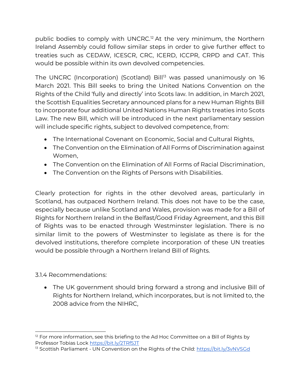public bodies to comply with UNCRC.<sup>12</sup> At the very minimum, the Northern Ireland Assembly could follow similar steps in order to give further effect to treaties such as CEDAW, ICESCR, CRC, ICERD, ICCPR, CRPD and CAT. This would be possible within its own devolved competencies.

The UNCRC (Incorporation) (Scotland) Bill<sup>13</sup> was passed unanimously on 16 March 2021. This Bill seeks to bring the United Nations Convention on the Rights of the Child 'fully and directly' into Scots law. In addition, in March 2021, the Scottish Equalities Secretary announced plans for a new Human Rights Bill to incorporate four additional United Nations Human Rights treaties into Scots Law. The new Bill, which will be introduced in the next parliamentary session will include specific rights, subject to devolved competence, from:

- The International Covenant on Economic, Social and Cultural Rights,
- The Convention on the Elimination of All Forms of Discrimination against Women,
- The Convention on the Elimination of All Forms of Racial Discrimination,
- The Convention on the Rights of Persons with Disabilities.

Clearly protection for rights in the other devolved areas, particularly in Scotland, has outpaced Northern Ireland. This does not have to be the case, especially because unlike Scotland and Wales, provision was made for a Bill of Rights for Northern Ireland in the Belfast/Good Friday Agreement, and this Bill of Rights was to be enacted through Westminster legislation. There is no similar limit to the powers of Westminster to legislate as there is for the devolved institutions, therefore complete incorporation of these UN treaties would be possible through a Northern Ireland Bill of Rights.

3.1.4 Recommendations:

• The UK government should bring forward a strong and inclusive Bill of Rights for Northern Ireland, which incorporates, but is not limited to, the 2008 advice from the NIHRC,

 $12$  For more information, see this briefing to the Ad Hoc Committee on a Bill of Rights by Professor Tobias Lock<https://bit.ly/2TRf5JT>

<sup>&</sup>lt;sup>13</sup> Scottish Parliament - UN Convention on the Rights of the Child[: https://bit.ly/3vNVSGd](https://bit.ly/3vNVSGd)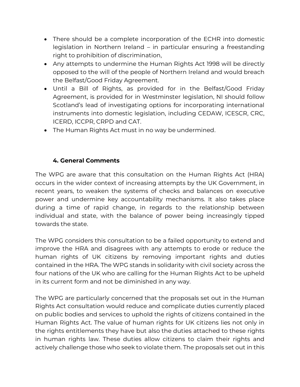- There should be a complete incorporation of the ECHR into domestic legislation in Northern Ireland – in particular ensuring a freestanding right to prohibition of discrimination,
- Any attempts to undermine the Human Rights Act 1998 will be directly opposed to the will of the people of Northern Ireland and would breach the Belfast/Good Friday Agreement.
- Until a Bill of Rights, as provided for in the Belfast/Good Friday Agreement, is provided for in Westminster legislation, NI should follow Scotland's lead of investigating options for incorporating international instruments into domestic legislation, including CEDAW, ICESCR, CRC, ICERD, ICCPR, CRPD and CAT.
- The Human Rights Act must in no way be undermined.

### **4. General Comments**

The WPG are aware that this consultation on the Human Rights Act (HRA) occurs in the wider context of increasing attempts by the UK Government, in recent years, to weaken the systems of checks and balances on executive power and undermine key accountability mechanisms. It also takes place during a time of rapid change, in regards to the relationship between individual and state, with the balance of power being increasingly tipped towards the state.

The WPG considers this consultation to be a failed opportunity to extend and improve the HRA and disagrees with any attempts to erode or reduce the human rights of UK citizens by removing important rights and duties contained in the HRA. The WPG stands in solidarity with civil society across the four nations of the UK who are calling for the Human Rights Act to be upheld in its current form and not be diminished in any way.

The WPG are particularly concerned that the proposals set out in the Human Rights Act consultation would reduce and complicate duties currently placed on public bodies and services to uphold the rights of citizens contained in the Human Rights Act. The value of human rights for UK citizens lies not only in the rights entitlements they have but also the duties attached to these rights in human rights law. These duties allow citizens to claim their rights and actively challenge those who seek to violate them. The proposals set out in this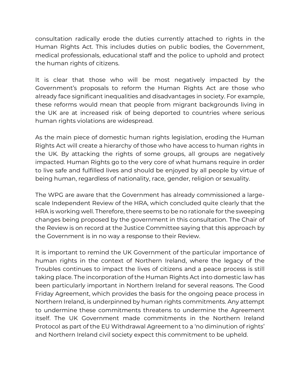consultation radically erode the duties currently attached to rights in the Human Rights Act. This includes duties on public bodies, the Government, medical professionals, educational staff and the police to uphold and protect the human rights of citizens.

It is clear that those who will be most negatively impacted by the Government's proposals to reform the Human Rights Act are those who already face significant inequalities and disadvantages in society. For example, these reforms would mean that people from migrant backgrounds living in the UK are at increased risk of being deported to countries where serious human rights violations are widespread.

As the main piece of domestic human rights legislation, eroding the Human Rights Act will create a hierarchy of those who have access to human rights in the UK. By attacking the rights of some groups, all groups are negatively impacted. Human Rights go to the very core of what humans require in order to live safe and fulfilled lives and should be enjoyed by all people by virtue of being human, regardless of nationality, race, gender, religion or sexuality.

The WPG are aware that the Government has already commissioned a largescale Independent Review of the HRA, which concluded quite clearly that the HRA is working well. Therefore, there seems to be no rationale for the sweeping changes being proposed by the government in this consultation. The Chair of the Review is on record at the Justice Committee saying that this approach by the Government is in no way a response to their Review.

It is important to remind the UK Government of the particular importance of human rights in the context of Northern Ireland, where the legacy of the Troubles continues to impact the lives of citizens and a peace process is still taking place. The incorporation of the Human Rights Act into domestic law has been particularly important in Northern Ireland for several reasons. The Good Friday Agreement, which provides the basis for the ongoing peace process in Northern Ireland, is underpinned by human rights commitments. Any attempt to undermine these commitments threatens to undermine the Agreement itself. The UK Government made commitments in the Northern Ireland Protocol as part of the EU Withdrawal Agreement to a 'no diminution of rights' and Northern Ireland civil society expect this commitment to be upheld.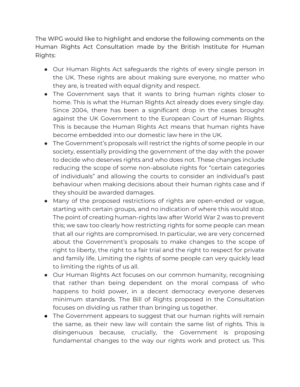The WPG would like to highlight and endorse the following comments on the Human Rights Act Consultation made by the British Institute for Human Rights:

- Our Human Rights Act safeguards the rights of every single person in the UK. These rights are about making sure everyone, no matter who they are, is treated with equal dignity and respect.
- The Government says that it wants to bring human rights closer to home. This is what the Human Rights Act already does every single day. Since 2004, there has been a significant drop in the cases brought against the UK Government to the European Court of Human Rights. This is because the Human Rights Act means that human rights have become embedded into our domestic law here in the UK.
- The Government's proposals will restrict the rights of some people in our society, essentially providing the government of the day with the power to decide who deserves rights and who does not. These changes include reducing the scope of some non-absolute rights for "certain categories of individuals" and allowing the courts to consider an individual's past behaviour when making decisions about their human rights case and if they should be awarded damages.
- Many of the proposed restrictions of rights are open-ended or vague, starting with certain groups, and no indication of where this would stop. The point of creating human-rights law after World War 2 was to prevent this; we saw too clearly how restricting rights for some people can mean that all our rights are compromised. In particular, we are very concerned about the Government's proposals to make changes to the scope of right to liberty, the right to a fair trial and the right to respect for private and family life. Limiting the rights of some people can very quickly lead to limiting the rights of us all.
- Our Human Rights Act focuses on our common humanity, recognising that rather than being dependent on the moral compass of who happens to hold power, in a decent democracy everyone deserves minimum standards. The Bill of Rights proposed in the Consultation focuses on dividing us rather than bringing us together.
- The Government appears to suggest that our human rights will remain the same, as their new law will contain the same list of rights. This is disingenuous because, crucially, the Government is proposing fundamental changes to the way our rights work and protect us. This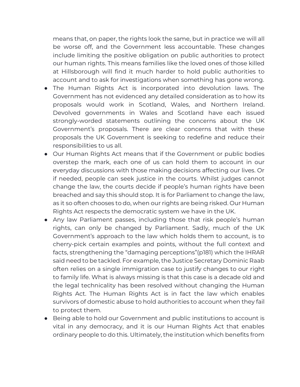means that, on paper, the rights look the same, but in practice we will all be worse off, and the Government less accountable. These changes include limiting the positive obligation on public authorities to protect our human rights. This means families like the loved ones of those killed at Hillsborough will find it much harder to hold public authorities to account and to ask for investigations when something has gone wrong.

- The Human Rights Act is incorporated into devolution laws. The Government has not evidenced any detailed consideration as to how its proposals would work in Scotland, Wales, and Northern Ireland. Devolved governments in Wales and Scotland have each issued strongly-worded statements outlining the concerns about the UK Government's proposals. There are clear concerns that with these proposals the UK Government is seeking to redefine and reduce their responsibilities to us all.
- Our Human Rights Act means that if the Government or public bodies overstep the mark, each one of us can hold them to account in our everyday discussions with those making decisions affecting our lives. Or if needed, people can seek justice in the courts. Whilst judges cannot change the law, the courts decide if people's human rights have been breached and say this should stop. It is for Parliament to change the law, as it so often chooses to do, when our rights are being risked. Our Human Rights Act respects the democratic system we have in the UK.
- Any law Parliament passes, including those that risk people's human rights, can only be changed by Parliament. Sadly, much of the UK Government's approach to the law which holds them to account, is to cherry-pick certain examples and points, without the full context and facts, strengthening the "damaging perceptions"(p181) which the IHRAR said need to be tackled. For example, the Justice Secretary Dominic Raab often relies on a single immigration case to justify changes to our right to family life. What is always missing is that this case is a decade old and the legal technicality has been resolved without changing the Human Rights Act. The Human Rights Act is in fact the law which enables survivors of domestic abuse to hold authorities to account when they fail to protect them.
- Being able to hold our Government and public institutions to account is vital in any democracy, and it is our Human Rights Act that enables ordinary people to do this. Ultimately, the institution which benefits from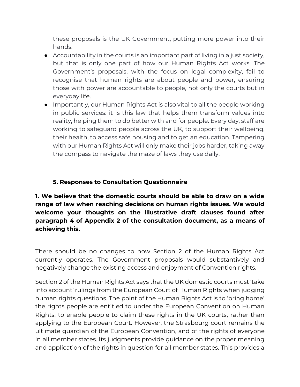these proposals is the UK Government, putting more power into their hands.

- $\bullet$  Accountability in the courts is an important part of living in a just society, but that is only one part of how our Human Rights Act works. The Government's proposals, with the focus on legal complexity, fail to recognise that human rights are about people and power, ensuring those with power are accountable to people, not only the courts but in everyday life.
- Importantly, our Human Rights Act is also vital to all the people working in public services: it is this law that helps them transform values into reality, helping them to do better with and for people. Every day, staff are working to safeguard people across the UK, to support their wellbeing, their health, to access safe housing and to get an education. Tampering with our Human Rights Act will only make their jobs harder, taking away the compass to navigate the maze of laws they use daily.

### **5. Responses to Consultation Questionnaire**

**1. We believe that the domestic courts should be able to draw on a wide range of law when reaching decisions on human rights issues. We would welcome your thoughts on the illustrative draft clauses found after paragraph 4 of Appendix 2 of the consultation document, as a means of achieving this.**

There should be no changes to how Section 2 of the Human Rights Act currently operates. The Government proposals would substantively and negatively change the existing access and enjoyment of Convention rights.

Section 2 of the Human Rights Act says that the UK domestic courts must 'take into account' rulings from the European Court of Human Rights when judging human rights questions. The point of the Human Rights Act is to 'bring home' the rights people are entitled to under the European Convention on Human Rights: to enable people to claim these rights in the UK courts, rather than applying to the European Court. However, the Strasbourg court remains the ultimate guardian of the European Convention, and of the rights of everyone in all member states. Its judgments provide guidance on the proper meaning and application of the rights in question for all member states. This provides a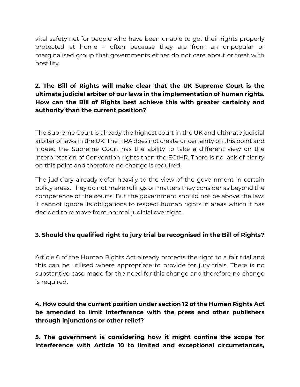vital safety net for people who have been unable to get their rights properly protected at home – often because they are from an unpopular or marginalised group that governments either do not care about or treat with hostility.

# **2. The Bill of Rights will make clear that the UK Supreme Court is the ultimate judicial arbiter of our laws in the implementation of human rights. How can the Bill of Rights best achieve this with greater certainty and authority than the current position?**

The Supreme Court is already the highest court in the UK and ultimate judicial arbiter of laws in the UK. The HRA does not create uncertainty on this point and indeed the Supreme Court has the ability to take a different view on the interpretation of Convention rights than the ECtHR. There is no lack of clarity on this point and therefore no change is required.

The judiciary already defer heavily to the view of the government in certain policy areas. They do not make rulings on matters they consider as beyond the competence of the courts. But the government should not be above the law: it cannot ignore its obligations to respect human rights in areas which it has decided to remove from normal judicial oversight.

# **3. Should the qualified right to jury trial be recognised in the Bill of Rights?**

Article 6 of the Human Rights Act already protects the right to a fair trial and this can be utilised where appropriate to provide for jury trials. There is no substantive case made for the need for this change and therefore no change is required.

## **4. How could the current position under section 12 of the Human Rights Act be amended to limit interference with the press and other publishers through injunctions or other relief?**

**5. The government is considering how it might confine the scope for interference with Article 10 to limited and exceptional circumstances,**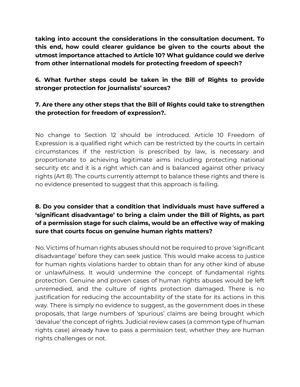**taking into account the considerations in the consultation document. To this end, how could clearer guidance be given to the courts about the utmost importance attached to Article 10? What guidance could we derive from other international models for protecting freedom of speech?**

**6. What further steps could be taken in the Bill of Rights to provide stronger protection for journalists' sources?**

### **7. Are there any other steps that the Bill of Rights could take to strengthen the protection for freedom of expression?.**

No change to Section 12 should be introduced. Article 10 Freedom of Expression is a qualified right which can be restricted by the courts in certain circumstances if the restriction is prescribed by law, is necessary and proportionate to achieving legitimate aims including protecting national security etc and it is a right which can and is balanced against other privacy rights (Art 8). The courts currently attempt to balance these rights and there is no evidence presented to suggest that this approach is failing.

# **8. Do you consider that a condition that individuals must have suffered a 'significant disadvantage' to bring a claim under the Bill of Rights, as part of a permission stage for such claims, would be an effective way of making sure that courts focus on genuine human rights matters?**

No. Victims of human rights abuses should not be required to prove 'significant disadvantage' before they can seek justice. This would make access to justice for human rights violations harder to obtain than for any other kind of abuse or unlawfulness. It would undermine the concept of fundamental rights protection. Genuine and proven cases of human rights abuses would be left unremedied, and the culture of rights protection damaged. There is no justification for reducing the accountability of the state for its actions in this way. There is simply no evidence to suggest, as the government does in these proposals, that large numbers of 'spurious' claims are being brought which 'devalue' the concept of rights. Judicial review cases (a common type of human rights case) already have to pass a permission test, whether they are human rights challenges or not.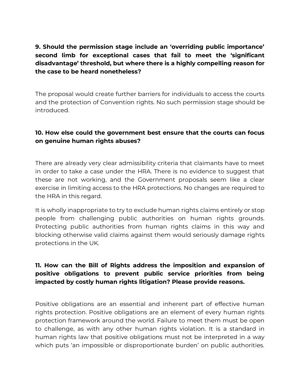# **9. Should the permission stage include an 'overriding public importance' second limb for exceptional cases that fail to meet the 'significant disadvantage' threshold, but where there is a highly compelling reason for the case to be heard nonetheless?**

The proposal would create further barriers for individuals to access the courts and the protection of Convention rights. No such permission stage should be introduced.

#### **10. How else could the government best ensure that the courts can focus on genuine human rights abuses?**

There are already very clear admissibility criteria that claimants have to meet in order to take a case under the HRA. There is no evidence to suggest that these are not working, and the Government proposals seem like a clear exercise in limiting access to the HRA protections. No changes are required to the HRA in this regard.

It is wholly inappropriate to try to exclude human rights claims entirely or stop people from challenging public authorities on human rights grounds. Protecting public authorities from human rights claims in this way and blocking otherwise valid claims against them would seriously damage rights protections in the UK.

## **11. How can the Bill of Rights address the imposition and expansion of positive obligations to prevent public service priorities from being impacted by costly human rights litigation? Please provide reasons.**

Positive obligations are an essential and inherent part of effective human rights protection. Positive obligations are an element of every human rights protection framework around the world. Failure to meet them must be open to challenge, as with any other human rights violation. It is a standard in human rights law that positive obligations must not be interpreted in a way which puts 'an impossible or disproportionate burden' on public authorities.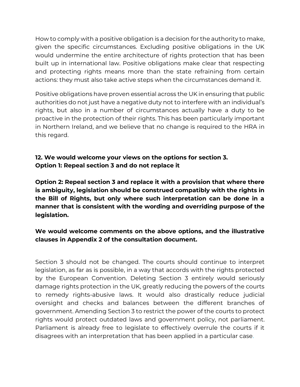How to comply with a positive obligation is a decision for the authority to make, given the specific circumstances. Excluding positive obligations in the UK would undermine the entire architecture of rights protection that has been built up in international law. Positive obligations make clear that respecting and protecting rights means more than the state refraining from certain actions: they must also take active steps when the circumstances demand it.

Positive obligations have proven essential across the UK in ensuring that public authorities do not just have a negative duty not to interfere with an individual's rights, but also in a number of circumstances actually have a duty to be proactive in the protection of their rights. This has been particularly important in Northern Ireland, and we believe that no change is required to the HRA in this regard.

# **12. We would welcome your views on the options for section 3. Option 1: Repeal section 3 and do not replace it**

**Option 2: Repeal section 3 and replace it with a provision that where there is ambiguity, legislation should be construed compatibly with the rights in the Bill of Rights, but only where such interpretation can be done in a manner that is consistent with the wording and overriding purpose of the legislation.**

# **We would welcome comments on the above options, and the illustrative clauses in Appendix 2 of the consultation document.**

Section 3 should not be changed. The courts should continue to interpret legislation, as far as is possible, in a way that accords with the rights protected by the European Convention. Deleting Section 3 entirely would seriously damage rights protection in the UK, greatly reducing the powers of the courts to remedy rights-abusive laws. It would also drastically reduce judicial oversight and checks and balances between the different branches of government. Amending Section 3 to restrict the power of the courts to protect rights would protect outdated laws and government policy, not parliament. Parliament is already free to legislate to effectively overrule the courts if it disagrees with an interpretation that has been applied in a particular case.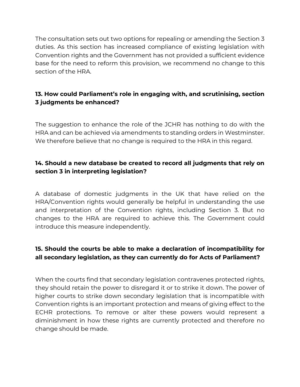The consultation sets out two options for repealing or amending the Section 3 duties. As this section has increased compliance of existing legislation with Convention rights and the Government has not provided a sufficient evidence base for the need to reform this provision, we recommend no change to this section of the HRA.

# **13. How could Parliament's role in engaging with, and scrutinising, section 3 judgments be enhanced?**

The suggestion to enhance the role of the JCHR has nothing to do with the HRA and can be achieved via amendments to standing orders in Westminster. We therefore believe that no change is required to the HRA in this regard.

# **14. Should a new database be created to record all judgments that rely on section 3 in interpreting legislation?**

A database of domestic judgments in the UK that have relied on the HRA/Convention rights would generally be helpful in understanding the use and interpretation of the Convention rights, including Section 3. But no changes to the HRA are required to achieve this. The Government could introduce this measure independently.

# **15. Should the courts be able to make a declaration of incompatibility for all secondary legislation, as they can currently do for Acts of Parliament?**

When the courts find that secondary legislation contravenes protected rights, they should retain the power to disregard it or to strike it down. The power of higher courts to strike down secondary legislation that is incompatible with Convention rights is an important protection and means of giving effect to the ECHR protections. To remove or alter these powers would represent a diminishment in how these rights are currently protected and therefore no change should be made.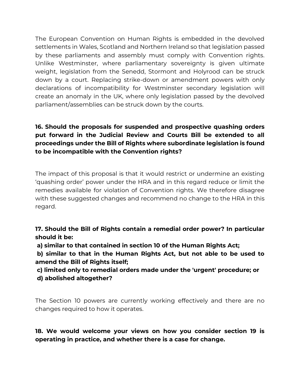The European Convention on Human Rights is embedded in the devolved settlements in Wales, Scotland and Northern Ireland so that legislation passed by these parliaments and assembly must comply with Convention rights. Unlike Westminster, where parliamentary sovereignty is given ultimate weight, legislation from the Senedd, Stormont and Holyrood can be struck down by a court. Replacing strike-down or amendment powers with only declarations of incompatibility for Westminster secondary legislation will create an anomaly in the UK, where only legislation passed by the devolved parliament/assemblies can be struck down by the courts.

# **16. Should the proposals for suspended and prospective quashing orders put forward in the Judicial Review and Courts Bill be extended to all proceedings under the Bill of Rights where subordinate legislation is found to be incompatible with the Convention rights?**

The impact of this proposal is that it would restrict or undermine an existing 'quashing order' power under the HRA and in this regard reduce or limit the remedies available for violation of Convention rights. We therefore disagree with these suggested changes and recommend no change to the HRA in this regard.

**17. Should the Bill of Rights contain a remedial order power? In particular should it be:**

**a) similar to that contained in section 10 of the Human Rights Act;**

**b) similar to that in the Human Rights Act, but not able to be used to amend the Bill of Rights itself;**

**c) limited only to remedial orders made under the 'urgent' procedure; or d) abolished altogether?**

The Section 10 powers are currently working effectively and there are no changes required to how it operates.

# **18. We would welcome your views on how you consider section 19 is operating in practice, and whether there is a case for change.**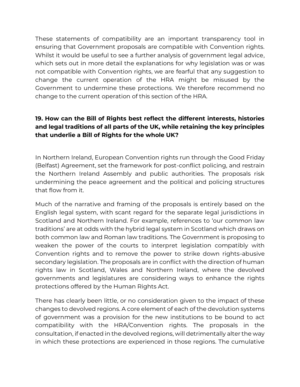These statements of compatibility are an important transparency tool in ensuring that Government proposals are compatible with Convention rights. Whilst it would be useful to see a further analysis of government legal advice, which sets out in more detail the explanations for why legislation was or was not compatible with Convention rights, we are fearful that any suggestion to change the current operation of the HRA might be misused by the Government to undermine these protections. We therefore recommend no change to the current operation of this section of the HRA.

# **19. How can the Bill of Rights best reflect the different interests, histories and legal traditions of all parts of the UK, while retaining the key principles that underlie a Bill of Rights for the whole UK?**

In Northern Ireland, European Convention rights run through the Good Friday (Belfast) Agreement, set the framework for post-conflict policing, and restrain the Northern Ireland Assembly and public authorities. The proposals risk undermining the peace agreement and the political and policing structures that flow from it.

Much of the narrative and framing of the proposals is entirely based on the English legal system, with scant regard for the separate legal jurisdictions in Scotland and Northern Ireland. For example, references to 'our common law traditions' are at odds with the hybrid legal system in Scotland which draws on both common law and Roman law traditions. The Government is proposing to weaken the power of the courts to interpret legislation compatibly with Convention rights and to remove the power to strike down rights-abusive secondary legislation. The proposals are in conflict with the direction of human rights law in Scotland, Wales and Northern Ireland, where the devolved governments and legislatures are considering ways to enhance the rights protections offered by the Human Rights Act.

There has clearly been little, or no consideration given to the impact of these changes to devolved regions. A core element of each of the devolution systems of government was a provision for the new institutions to be bound to act compatibility with the HRA/Convention rights. The proposals in the consultation, if enacted in the devolved regions, will detrimentally alter the way in which these protections are experienced in those regions. The cumulative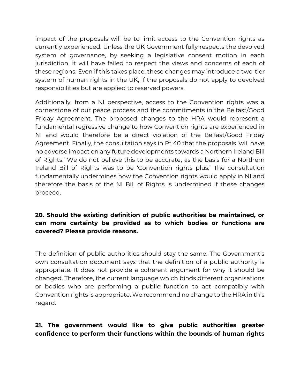impact of the proposals will be to limit access to the Convention rights as currently experienced. Unless the UK Government fully respects the devolved system of governance, by seeking a legislative consent motion in each jurisdiction, it will have failed to respect the views and concerns of each of these regions. Even if this takes place, these changes may introduce a two-tier system of human rights in the UK, if the proposals do not apply to devolved responsibilities but are applied to reserved powers.

Additionally, from a NI perspective, access to the Convention rights was a cornerstone of our peace process and the commitments in the Belfast/Good Friday Agreement. The proposed changes to the HRA would represent a fundamental regressive change to how Convention rights are experienced in NI and would therefore be a direct violation of the Belfast/Good Friday Agreement. Finally, the consultation says in Pt 40 that the proposals 'will have no adverse impact on any future developments towards a Northern Ireland Bill of Rights.' We do not believe this to be accurate, as the basis for a Northern Ireland Bill of Rights was to be 'Convention rights plus.' The consultation fundamentally undermines how the Convention rights would apply in NI and therefore the basis of the NI Bill of Rights is undermined if these changes proceed.

# **20. Should the existing definition of public authorities be maintained, or can more certainty be provided as to which bodies or functions are covered? Please provide reasons.**

The definition of public authorities should stay the same. The Government's own consultation document says that the definition of a public authority is appropriate. It does not provide a coherent argument for why it should be changed. Therefore, the current language which binds different organisations or bodies who are performing a public function to act compatibly with Convention rights is appropriate. We recommend no change to the HRA in this regard.

# **21. The government would like to give public authorities greater confidence to perform their functions within the bounds of human rights**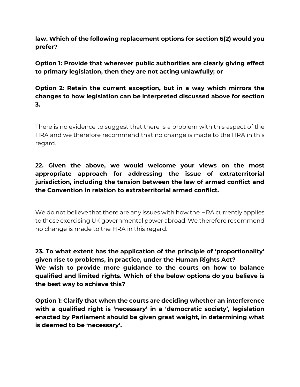**law. Which of the following replacement options for section 6(2) would you prefer?**

**Option 1: Provide that wherever public authorities are clearly giving effect to primary legislation, then they are not acting unlawfully; or**

**Option 2: Retain the current exception, but in a way which mirrors the changes to how legislation can be interpreted discussed above for section 3.**

There is no evidence to suggest that there is a problem with this aspect of the HRA and we therefore recommend that no change is made to the HRA in this regard.

# **22. Given the above, we would welcome your views on the most appropriate approach for addressing the issue of extraterritorial jurisdiction, including the tension between the law of armed conflict and the Convention in relation to extraterritorial armed conflict.**

We do not believe that there are any issues with how the HRA currently applies to those exercising UK governmental power abroad. We therefore recommend no change is made to the HRA in this regard.

**23. To what extent has the application of the principle of 'proportionality' given rise to problems, in practice, under the Human Rights Act? We wish to provide more guidance to the courts on how to balance qualified and limited rights. Which of the below options do you believe is the best way to achieve this?**

**Option 1: Clarify that when the courts are deciding whether an interference with a qualified right is 'necessary' in a 'democratic society', legislation enacted by Parliament should be given great weight, in determining what is deemed to be 'necessary'.**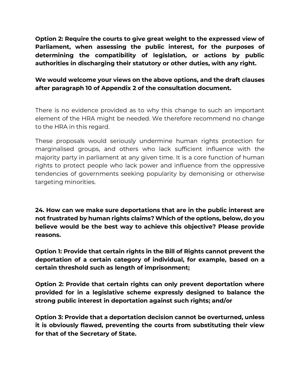**Option 2: Require the courts to give great weight to the expressed view of Parliament, when assessing the public interest, for the purposes of determining the compatibility of legislation, or actions by public authorities in discharging their statutory or other duties, with any right.**

## **We would welcome your views on the above options, and the draft clauses after paragraph 10 of Appendix 2 of the consultation document.**

There is no evidence provided as to why this change to such an important element of the HRA might be needed. We therefore recommend no change to the HRA in this regard.

These proposals would seriously undermine human rights protection for marginalised groups, and others who lack sufficient influence with the majority party in parliament at any given time. It is a core function of human rights to protect people who lack power and influence from the oppressive tendencies of governments seeking popularity by demonising or otherwise targeting minorities.

**24. How can we make sure deportations that are in the public interest are not frustrated by human rights claims? Which of the options, below, do you believe would be the best way to achieve this objective? Please provide reasons.**

**Option 1: Provide that certain rights in the Bill of Rights cannot prevent the deportation of a certain category of individual, for example, based on a certain threshold such as length of imprisonment;**

**Option 2: Provide that certain rights can only prevent deportation where provided for in a legislative scheme expressly designed to balance the strong public interest in deportation against such rights; and/or**

**Option 3: Provide that a deportation decision cannot be overturned, unless it is obviously flawed, preventing the courts from substituting their view for that of the Secretary of State.**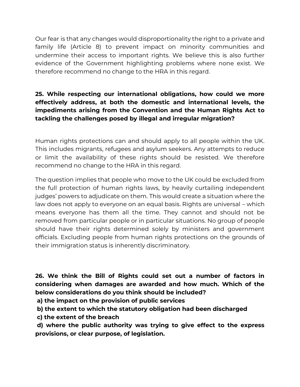Our fear is that any changes would disproportionality the right to a private and family life (Article 8) to prevent impact on minority communities and undermine their access to important rights. We believe this is also further evidence of the Government highlighting problems where none exist. We therefore recommend no change to the HRA in this regard.

# **25. While respecting our international obligations, how could we more effectively address, at both the domestic and international levels, the impediments arising from the Convention and the Human Rights Act to tackling the challenges posed by illegal and irregular migration?**

Human rights protections can and should apply to all people within the UK. This includes migrants, refugees and asylum seekers. Any attempts to reduce or limit the availability of these rights should be resisted. We therefore recommend no change to the HRA in this regard.

The question implies that people who move to the UK could be excluded from the full protection of human rights laws, by heavily curtailing independent judges' powers to adjudicate on them. This would create a situation where the law does not apply to everyone on an equal basis. Rights are universal – which means everyone has them all the time. They cannot and should not be removed from particular people or in particular situations. No group of people should have their rights determined solely by ministers and government officials. Excluding people from human rights protections on the grounds of their immigration status is inherently discriminatory.

**26. We think the Bill of Rights could set out a number of factors in considering when damages are awarded and how much. Which of the below considerations do you think should be included?** 

**a) the impact on the provision of public services**

**b) the extent to which the statutory obligation had been discharged**

**c) the extent of the breach**

**d) where the public authority was trying to give effect to the express provisions, or clear purpose, of legislation.**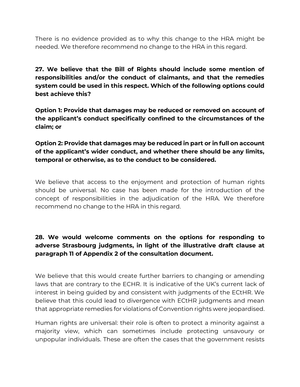There is no evidence provided as to why this change to the HRA might be needed. We therefore recommend no change to the HRA in this regard.

**27. We believe that the Bill of Rights should include some mention of responsibilities and/or the conduct of claimants, and that the remedies system could be used in this respect. Which of the following options could best achieve this?**

**Option 1: Provide that damages may be reduced or removed on account of the applicant's conduct specifically confined to the circumstances of the claim; or**

**Option 2: Provide that damages may be reduced in part or in full on account of the applicant's wider conduct, and whether there should be any limits, temporal or otherwise, as to the conduct to be considered.**

We believe that access to the enjoyment and protection of human rights should be universal. No case has been made for the introduction of the concept of responsibilities in the adjudication of the HRA. We therefore recommend no change to the HRA in this regard.

# **28. We would welcome comments on the options for responding to adverse Strasbourg judgments, in light of the illustrative draft clause at paragraph 11 of Appendix 2 of the consultation document.**

We believe that this would create further barriers to changing or amending laws that are contrary to the ECHR. It is indicative of the UK's current lack of interest in being guided by and consistent with judgments of the ECtHR. We believe that this could lead to divergence with ECtHR judgments and mean that appropriate remedies for violations of Convention rights were jeopardised.

Human rights are universal: their role is often to protect a minority against a majority view, which can sometimes include protecting unsavoury or unpopular individuals. These are often the cases that the government resists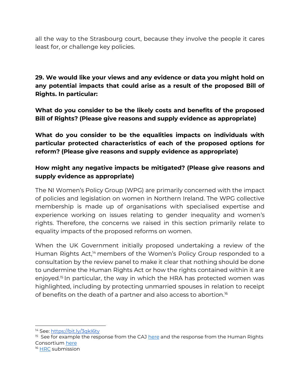all the way to the Strasbourg court, because they involve the people it cares least for, or challenge key policies.

**29. We would like your views and any evidence or data you might hold on any potential impacts that could arise as a result of the proposed Bill of Rights. In particular:**

**What do you consider to be the likely costs and benefits of the proposed Bill of Rights? (Please give reasons and supply evidence as appropriate)** 

**What do you consider to be the equalities impacts on individuals with particular protected characteristics of each of the proposed options for reform? (Please give reasons and supply evidence as appropriate)** 

## **How might any negative impacts be mitigated? (Please give reasons and supply evidence as appropriate)**

The NI Women's Policy Group (WPG) are primarily concerned with the impact of policies and legislation on women in Northern Ireland. The WPG collective membership is made up of organisations with specialised expertise and experience working on issues relating to gender inequality and women's rights. Therefore, the concerns we raised in this section primarily relate to equality impacts of the proposed reforms on women.

When the UK Government initially proposed undertaking a review of the Human Rights Act,<sup>14</sup> members of the Women's Policy Group responded to a consultation by the review panel to make it clear that nothing should be done to undermine the Human Rights Act or how the rights contained within it are enjoyed.<sup>15</sup> In particular, the way in which the HRA has protected women was highlighted, including by protecting unmarried spouses in relation to receipt of benefits on the death of a partner and also access to abortion.<sup>16</sup>

<sup>14</sup> See[: https://bit.ly/3qkI6ty](https://bit.ly/3qkI6ty)

 $15$  See for example the response from the CAJ [here](https://caj.org.uk/wp-content/uploads/2021/03/CAJ-Response-to-the-Independent-Human-Rights-Act-Review-Mar-21.pdf) and the response from the Human Rights Consortium [here](https://mcusercontent.com/5c6e7558cb6de678762733f06/files/3dd003b2-e988-4656-a5b9-a3eb4027cb7a/Human_Rights_Consortium_Submission_to_the_Independent_Human_Rights_Act_Review_IHRAR_March_2021.pdf)

<sup>&</sup>lt;sup>16</sup> [HRC](https://mcusercontent.com/5c6e7558cb6de678762733f06/files/3dd003b2-e988-4656-a5b9-a3eb4027cb7a/Human_Rights_Consortium_Submission_to_the_Independent_Human_Rights_Act_Review_IHRAR_March_2021.pdf) submission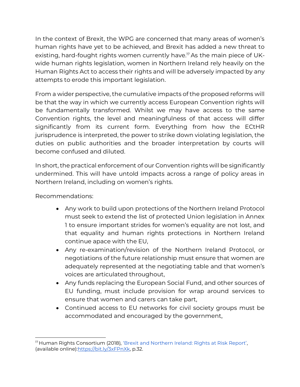In the context of Brexit, the WPG are concerned that many areas of women's human rights have yet to be achieved, and Brexit has added a new threat to existing, hard-fought rights women currently have.<sup>17</sup> As the main piece of UKwide human rights legislation, women in Northern Ireland rely heavily on the Human Rights Act to access their rights and will be adversely impacted by any attempts to erode this important legislation.

From a wider perspective, the cumulative impacts of the proposed reforms will be that the way in which we currently access European Convention rights will be fundamentally transformed. Whilst we may have access to the same Convention rights, the level and meaningfulness of that access will differ significantly from its current form. Everything from how the ECtHR jurisprudence is interpreted, the power to strike down violating legislation, the duties on public authorities and the broader interpretation by courts will become confused and diluted.

In short, the practical enforcement of our Convention rights will be significantly undermined. This will have untold impacts across a range of policy areas in Northern Ireland, including on women's rights.

Recommendations:

- Any work to build upon protections of the Northern Ireland Protocol must seek to extend the list of protected Union legislation in Annex 1 to ensure important strides for women's equality are not lost, and that equality and human rights protections in Northern Ireland continue apace with the EU,
- Any re-examination/revision of the Northern Ireland Protocol, or negotiations of the future relationship must ensure that women are adequately represented at the negotiating table and that women's voices are articulated throughout,
- Any funds replacing the European Social Fund, and other sources of EU funding, must include provision for wrap around services to ensure that women and carers can take part,
- Continued access to EU networks for civil society groups must be accommodated and encouraged by the government,

<sup>&</sup>lt;sup>17</sup> Human Rights Consortium (2018), ['Brexit and Northern Ireland: Rights at Risk Report'](http://www.humanrightsconsortium.org/wp-content/uploads/2018/01/RIGHTS-AT-RISK-Final.pdf), (available online): https://bit.ly/3xFPnXk, p.32.